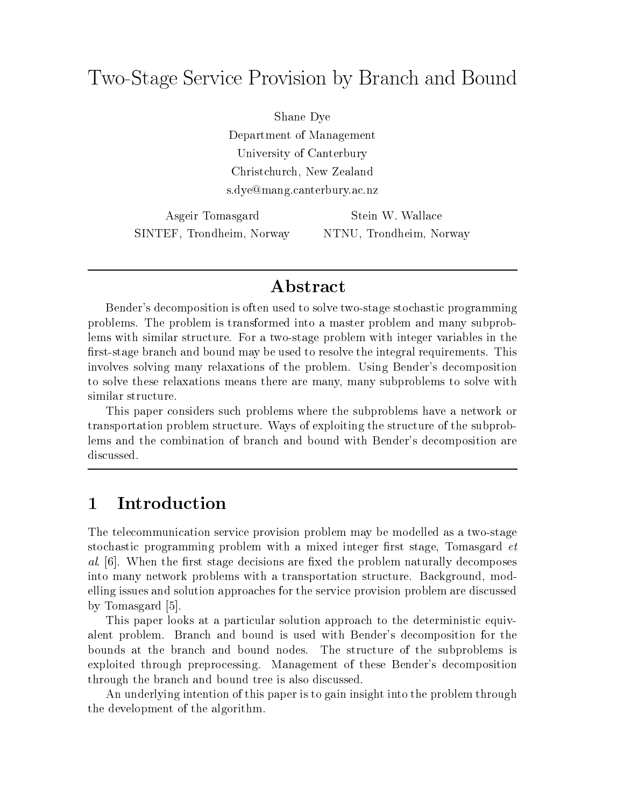# Two-Stage Service Provision by Branch and Bound

Shane Dye Department of Management University of Canterbury Christchurch, New Zealand s.dye@mang.canterbury.ac.nz

Asgeir Tomasgard SINTEF, Trondheim, Norway

Stein W. Wallace NTNU, Trondheim, Norway

### **Abstract**

Bender's decomposition is often used to solve two-stage stochastic programming problems. The problem is transformed into a master problem and many subproblems with similar structure. For a two-stage problem with integer variables in the first-stage branch and bound may be used to resolve the integral requirements. This involves solving many relaxations of the problem. Using Bender's decomposition to solve these relaxations means there are many, many subproblems to solve with similar structure.

This paper considers such problems where the subproblems have a network or transportation problem structure. Ways of exploiting the structure of the subproblems and the combination of branch and bound with Bender's decomposition are

#### **Introduction**  $\mathbf 1$

The telecommunication service provision problem may be modelled as a two-stage stochastic programming problem with a mixed integer first stage, Tomasgard *et* al.  $[6]$ . When the first stage decisions are fixed the problem naturally decomposes into many network problems with a transportation structure. Background, modelling issues and solution approaches for the service provision problem are discussed by Tomasgard [5].

This paper looks at a particular solution approach to the deterministic equivalent problem. Branch and bound is used with Bender's decomposition for the bounds at the branch and bound nodes. The structure of the subproblems is exploited through preprocessing. Management of these Bender's decomposition through the branch and bound tree is also discussed.

An underlying intention of this paper is to gain insight into the problem through the development of the algorithm.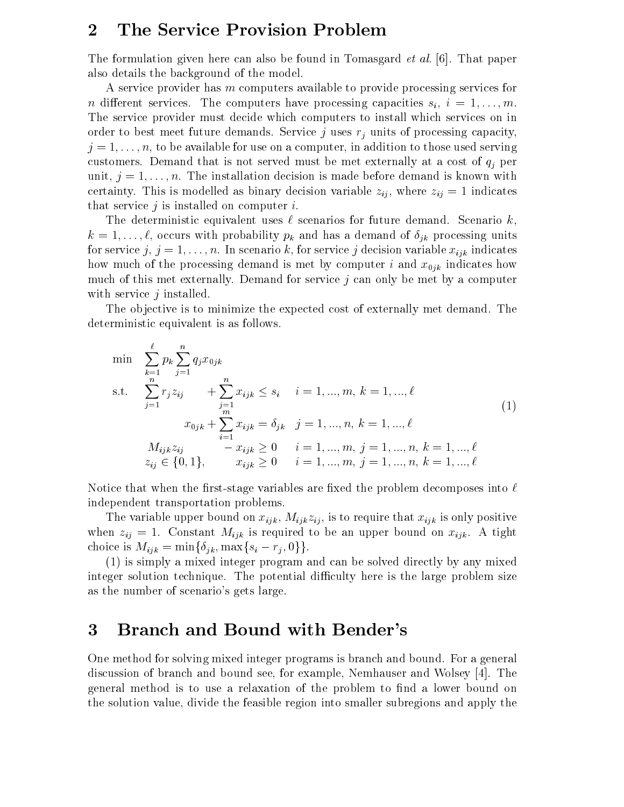### 2 The Service Provision Problem

The formulation given here can also be found in Tomasgard *et al.* [6]. That paper also details the background of the model.

A service provider has m computers available to provide processing services for n different services. The computers have processing capacities  $s_i$ ,  $i = 1, \ldots, m$ . The service provider must decide which computers to install which services on in order to best meet future demands. Service j uses  $r_j$  units of processing capacity,  $j = 1, \ldots, n$ , to be available for use on a computer, in addition to those used serving customers. Demand that is not served must be met externally at a cost of  $q_i$  per unit,  $j = 1, \ldots, n$ . The installation decision is made before demand is known with certainty. This is modelled as binary decision variable  $z_{ij}$ , where  $z_{ij} = 1$  indicates that service  $j$  is installed on computer  $i$ .

The deterministic equivalent uses  $\ell$  scenarios for future demand. Scenario k,  $k = 1, \ldots, \ell$ , occurs with probability  $p_k$  and has a demand of  $\delta_{ik}$  processing units for service  $j, j = 1, \ldots, n$ . In scenario k, for service j decision variable  $x_{ijk}$  indicates how much of the processing demand is met by computer i and  $x_{0jk}$  indicates how much of this met externally. Demand for service  $j$  can only be met by a computer with service  $j$  installed.

The objective is to minimize the expected cost of externally met demand. The deterministic equivalent is as follows.

$$
\min \sum_{k=1}^{\ell} p_k \sum_{j=1}^{n} q_j x_{0jk}
$$
\n
$$
\text{s.t.} \quad \sum_{j=1}^{n} r_j z_{ij} + \sum_{j=1}^{n} x_{ijk} \le s_i \quad i = 1, ..., m, k = 1, ..., \ell
$$
\n
$$
x_{0jk} + \sum_{i=1}^{m} x_{ijk} = \delta_{jk} \quad j = 1, ..., n, k = 1, ..., \ell
$$
\n
$$
M_{ijk} z_{ij} - x_{ijk} \ge 0 \quad i = 1, ..., m, j = 1, ..., n, k = 1, ..., \ell
$$
\n
$$
z_{ij} \in \{0, 1\}, \qquad x_{ijk} \ge 0 \quad i = 1, ..., m, j = 1, ..., n, k = 1, ..., \ell
$$
\n
$$
(1)
$$

Notice that when the first-stage variables are fixed the problem decomposes into  $\ell$ independent transportation problems.

The variable upper bound on  $x_{ijk}$ ,  $M_{ijk}z_{ij}$ , is to require that  $x_{ijk}$  is only positive when  $z_{ij} = 1$ . Constant  $M_{ijk}$  is required to be an upper bound on  $x_{ijk}$ . A tight choice is  $M_{ijk} = \min\{\delta_{jk}, \max\{s_i - r_j, 0\}\}.$ 

(1) is simply a mixed integer program and can be solved directly by any mixed integer solution technique. The potential difficulty here is the large problem size as the number of scenario's gets large.

### 3 Branch and Bound with Bender's

One method for solving mixed integer programs is branch and bound. For a general discussion of branch and bound see, for example, Nemhauser and Wolsey [4]. The general method is to use a relaxation of the problem to find a lower bound on the solution value, divide the feasible region into smaller subregions and apply the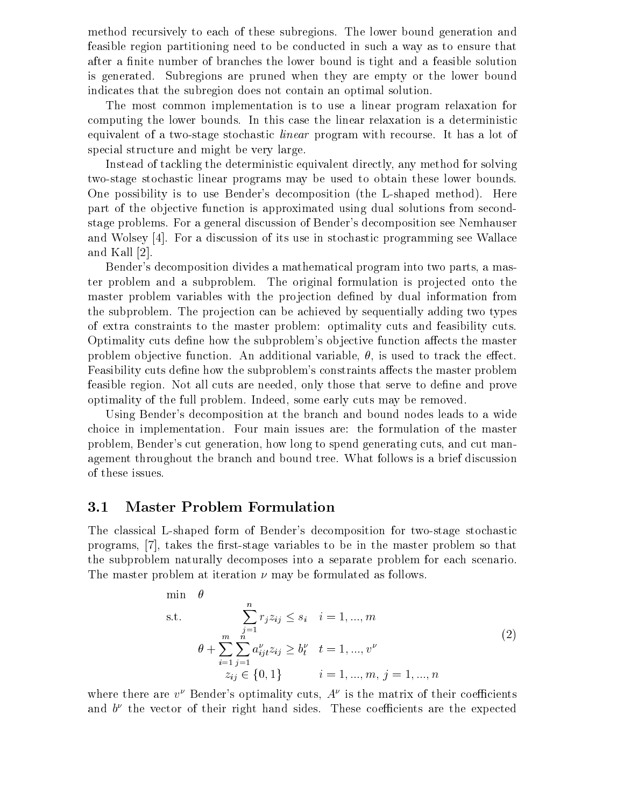method recursively to each of these subregions. The lower bound generation and feasible region partitioning need to be conducted in such a way as to ensure that after a finite number of branches the lower bound is tight and a feasible solution is generated. Subregions are pruned when they are empty or the lower bound indicates that the subregion does not contain an optimal solution.

The most common implementation is to use a linear program relaxation for computing the lower bounds. In this case the linear relaxation is a deterministic equivalent of a two-stage stochastic linear program with recourse. It has a lot of special structure and might be very large.

Instead of tackling the deterministic equivalent directly, any method for solving two-stage stochastic linear programs may be used to obtain these lower bounds. One possibility is to use Bender's decomposition (the L-shaped method). Here part of the objective function is approximated using dual solutions from secondstage problems. For a general discussion of Bender's decomposition see Nemhauser and Wolsey [4]. For a discussion of its use in stochastic programming see Wallace and Kall [2].

Bender's decomposition divides a mathematical program into two parts, a master problem and a subproblem. The original formulation is projected onto the master problem variables with the projection defined by dual information from the subproblem. The projection can be achieved by sequentially adding two types of extra constraints to the master problem: optimality cuts and feasibility cuts. Optimality cuts define how the subproblem's objective function affects the master problem objective function. An additional variable,  $\theta$ , is used to track the effect. Feasibility cuts define how the subproblem's constraints affects the master problem feasible region. Not all cuts are needed, only those that serve to define and prove optimality of the full problem. Indeed, some early cuts may be removed.

Using Bender's decomposition at the branch and bound nodes leads to a wide choice in implementation. Four main issues are: the formulation of the master problem, Bender's cut generation, how long to spend generating cuts, and cut management throughout the branch and bound tree. What follows is a brief discussion of these issues.

#### 3.1Master Problem Formulation

The classical L-shaped form of Bender's decomposition for two-stage stochastic programs, [7], takes the first-stage variables to be in the master problem so that the subproblem naturally decomposes into a separate problem for each scenario. The master problem at iteration  $\nu$  may be formulated as follows.

$$
\min \theta
$$
\n
$$
\text{s.t.} \quad \sum_{j=1}^{n} r_j z_{ij} \le s_i \quad i = 1, ..., m
$$
\n
$$
\theta + \sum_{i=1}^{m} \sum_{j=1}^{n} a_{ij}^{\nu} z_{ij} \ge b_t^{\nu} \quad t = 1, ..., v^{\nu}
$$
\n
$$
z_{ij} \in \{0, 1\} \quad i = 1, ..., m, j = 1, ..., n
$$
\n
$$
(2)
$$

where there are  $v^{\nu}$  Bender's optimality cuts,  $A^{\nu}$  is the matrix of their coefficients and  $\sigma$  the vector of their right hand sides. These coefficients are the expected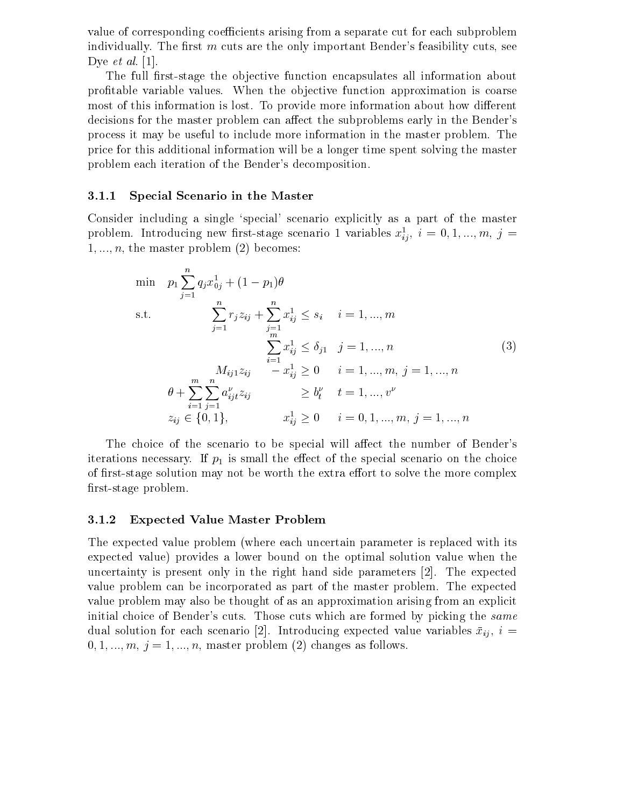value of corresponding coefficients arising from a separate cut for each subproblem individually. The first  $m$  cuts are the only important Bender's feasibility cuts, see Dye *et al.* [1].

The full first-stage the objective function encapsulates all information about profitable variable values. When the objective function approximation is coarse most of this information is lost. To provide more information about how different decisions for the master problem can affect the subproblems early in the Bender's process it may be useful to include more information in the master problem. The price for this additional information will be a longer time spent solving the master problem each iteration of the Bender's decomposition.

#### 3.1.1Special Scenario in the Master

Consider including a single `special' scenario explicitly as a part of the master problem. Introducing new first-stage scenario 1 variables  $x_{ij}$ ,  $i = 0, 1, ..., m, \ j = 1$  $1, ..., n$ , the master problem  $(2)$  becomes:

$$
\begin{array}{ll}\n\min & p_1 \sum_{j=1}^n q_j x_{0j}^1 + (1 - p_1) \theta \\
\text{s.t.} & \sum_{j=1}^n r_j z_{ij} + \sum_{j=1}^n x_{ij}^1 \le s_i \quad i = 1, \dots, m \\
& \sum_{i=1}^n x_{ij}^1 \le \delta_{j1} \quad j = 1, \dots, n \\
& M_{ij1} z_{ij} \quad -x_{ij}^1 \ge 0 \quad i = 1, \dots, m, \ j = 1, \dots, n \\
\theta + \sum_{i=1}^m \sum_{j=1}^n a_{ij}^\nu z_{ij} \ge b_i^\nu \quad t = 1, \dots, v^\nu \\
& z_{ij} \in \{0, 1\}, \qquad x_{ij}^1 \ge 0 \quad i = 0, 1, \dots, m, \ j = 1, \dots, n\n\end{array} \tag{3}
$$

The choice of the scenario to be special will affect the number of Bender's iterations necessary. If  $p_1$  is small the effect of the special scenario on the choice of first-stage solution may not be worth the extra effort to solve the more complex first-stage problem.

#### 3.1.2Expected Value Master Problem

The expected value problem (where each uncertain parameter is replaced with its expected value) provides a lower bound on the optimal solution value when the uncertainty is present only in the right hand side parameters [2]. The expected value problem can be incorporated as part of the master problem. The expected value problem may also be thought of as an approximation arising from an explicit initial choice of Bender's cuts. Those cuts which are formed by picking the same dual solution for each scenario [2]. Introducing expected value variables  $\bar{x}_{ij}$ ,  $i =$  $0, 1, \ldots, m, j = 1, \ldots, n$ , master problem (2) changes as follows.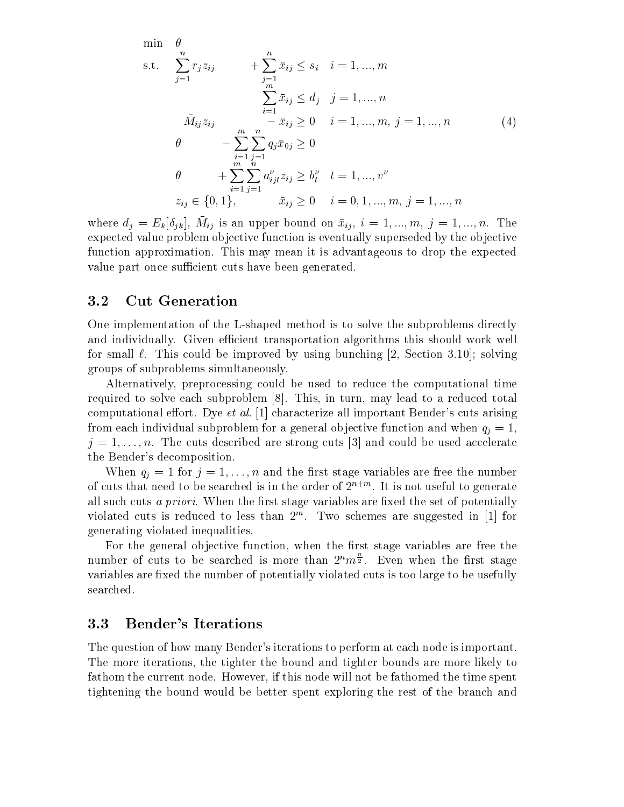$$
\min \theta
$$
\n  
\n
$$
s.t. \sum_{j=1}^{n} r_j z_{ij} + \sum_{j=1}^{n} \bar{x}_{ij} \le s_i \quad i = 1, ..., m
$$
\n
$$
\sum_{i=1}^{m} \bar{x}_{ij} \le d_j \quad j = 1, ..., n
$$
\n
$$
\bar{M}_{ij} z_{ij} - \bar{x}_{ij} \ge 0 \quad i = 1, ..., m, j = 1, ..., n
$$
\n
$$
\theta - \sum_{i=1}^{m} \sum_{j=1}^{n} q_j \bar{x}_{0j} \ge 0
$$
\n
$$
\theta + \sum_{i=1}^{m} \sum_{j=1}^{n} a_{ij}^{\nu} z_{ij} \ge b_i^{\nu} \quad t = 1, ..., v^{\nu}
$$
\n
$$
z_{ij} \in \{0, 1\}, \qquad \bar{x}_{ij} \ge 0 \quad i = 0, 1, ..., m, j = 1, ..., n
$$
\n
$$
(4)
$$

where  $u_j = E_k[v_{ik}],$   $m_{ij}$  is an upper bound on  $x_{ij}, i = 1, ..., m, j = 1, ..., n$ . The expected value problem objective function is eventually superseded by the objective function approximation. This may mean it is advantageous to drop the expected value part once sufficient cuts have been generated.

#### 3.2Cut Generation

One implementation of the L-shaped method is to solve the subproblems directly and individually. Given efficient transportation algorithms this should work well for small  $\ell$ . This could be improved by using bunching [2, Section 3.10]; solving groups of subproblems simultaneously.

Alternatively, preprocessing could be used to reduce the computational time required to solve each subproblem [8]. This, in turn, may lead to a reduced total computational effort. Dye et al. [1] characterize all important Bender's cuts arising from each individual subproblem for a general objective function and when  $q_i = 1$ ,  $j = 1, \ldots, n$ . The cuts described are strong cuts [3] and could be used accelerate the Bender's decomposition.

When  $q_i = 1$  for  $j = 1, \ldots, n$  and the first stage variables are free the number of cuts that need to be searched is in the order of  $2^{n+m}$ . It is not useful to generate all such cuts *a priori*. When the first stage variables are fixed the set of potentially violated cuts is reduced to less than  $\mathcal Z$  . Two schemes are suggested in [1] for generating violated inequalities.

For the general objective function, when the first stage variables are free the number of cuts to be searched is more than  $2^n m\bar{z}$ . Even when the first stage variables are fixed the number of potentially violated cuts is too large to be usefully searched.

#### 3.3Bender's Iterations

The question of how many Bender's iterations to perform at each node is important. The more iterations, the tighter the bound and tighter bounds are more likely to fathom the current node. However, if this node will not be fathomed the time spent tightening the bound would be better spent exploring the rest of the branch and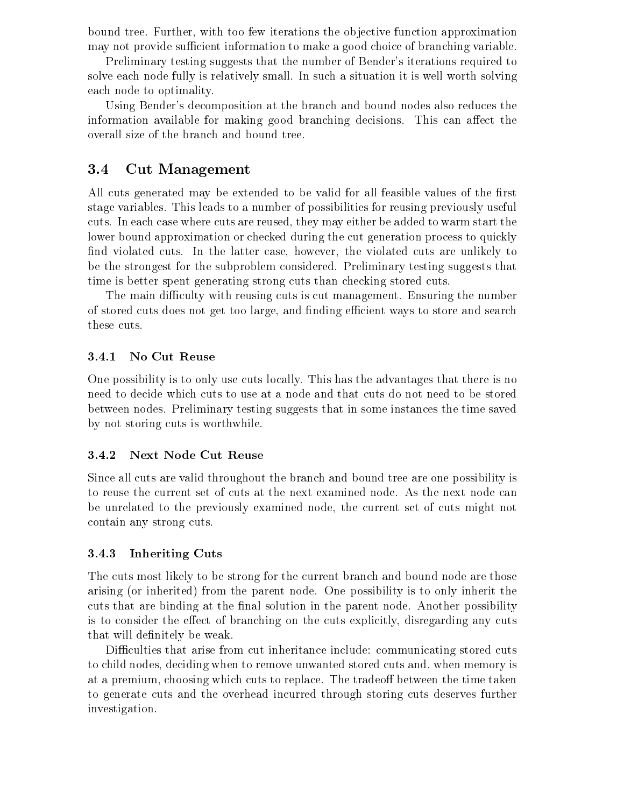bound tree. Further, with too few iterations the objective function approximation may not provide sufficient information to make a good choice of branching variable.

Preliminary testing suggests that the number of Bender's iterations required to solve each node fully is relatively small. In such a situation it is well worth solving each node to optimality.

Using Bender's decomposition at the branch and bound nodes also reduces the information available for making good branching decisions. This can affect the overall size of the branch and bound tree.

#### 3.4Cut Management

All cuts generated may be extended to be valid for all feasible values of the first stage variables. This leads to a number of possibilities for reusing previously useful cuts. In each case where cuts are reused, they may either be added to warm start the lower bound approximation or checked during the cut generation process to quickly find violated cuts. In the latter case, however, the violated cuts are unlikely to be the strongest for the subproblem considered. Preliminary testing suggests that time is better spent generating strong cuts than checking stored cuts.

The main difficulty with reusing cuts is cut management. Ensuring the number of stored cuts does not get too large, and finding efficient ways to store and search these cuts.

#### 3.4.1No Cut Reuse

One possibility is to only use cuts locally. This has the advantages that there is no need to decide which cuts to use at a node and that cuts do not need to be stored between nodes. Preliminary testing suggests that in some instances the time saved by not storing cuts is worthwhile.

#### 3.4.2Next Node Cut Reuse

Since all cuts are valid throughout the branch and bound tree are one possibility is to reuse the current set of cuts at the next examined node. As the next node can be unrelated to the previously examined node, the current set of cuts might not contain any strong cuts.

#### 3.4.3Inheriting Cuts

The cuts most likely to be strong for the current branch and bound node are those arising (or inherited) from the parent node. One possibility is to only inherit the cuts that are binding at the final solution in the parent node. Another possibility is to consider the effect of branching on the cuts explicitly, disregarding any cuts that will definitely be weak.

Difficulties that arise from cut inheritance include: communicating stored cuts to child nodes, deciding when to remove unwanted stored cuts and, when memory is at a premium, choosing which cuts to replace. The tradeoff between the time taken to generate cuts and the overhead incurred through storing cuts deserves further investigation.